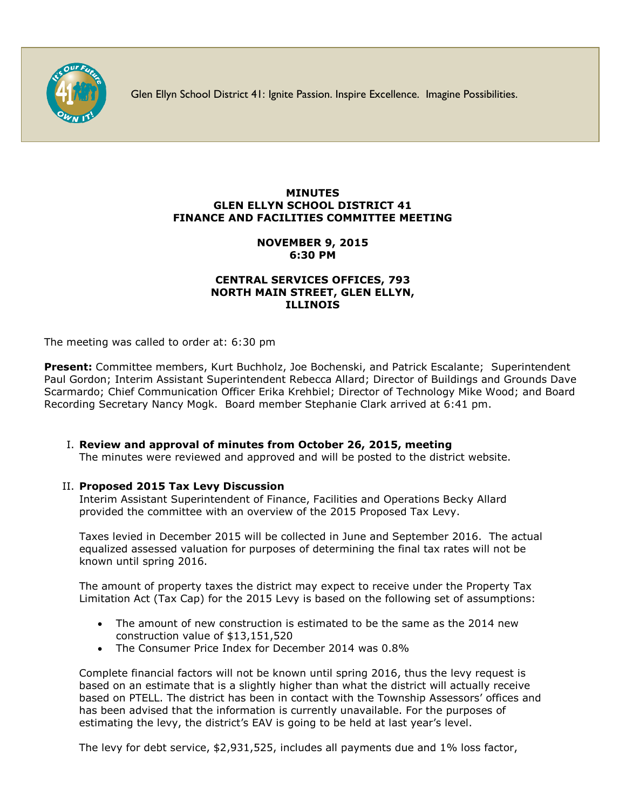

Glen Ellyn School District 41: Ignite Passion. Inspire Excellence. Imagine Possibilities.

## **MINUTES GLEN ELLYN SCHOOL DISTRICT 41 FINANCE AND FACILITIES COMMITTEE MEETING**

# **NOVEMBER 9, 2015 6:30 PM**

## **CENTRAL SERVICES OFFICES, 793 NORTH MAIN STREET, GLEN ELLYN, ILLINOIS**

The meeting was called to order at: 6:30 pm

**Present:** Committee members, Kurt Buchholz, Joe Bochenski, and Patrick Escalante; Superintendent Paul Gordon; Interim Assistant Superintendent Rebecca Allard; Director of Buildings and Grounds Dave Scarmardo; Chief Communication Officer Erika Krehbiel; Director of Technology Mike Wood; and Board Recording Secretary Nancy Mogk. Board member Stephanie Clark arrived at 6:41 pm.

I. **Review and approval of minutes from October 26, 2015, meeting**

The minutes were reviewed and approved and will be posted to the district website.

## II. **Proposed 2015 Tax Levy Discussion**

Interim Assistant Superintendent of Finance, Facilities and Operations Becky Allard provided the committee with an overview of the 2015 Proposed Tax Levy.

Taxes levied in December 2015 will be collected in June and September 2016. The actual equalized assessed valuation for purposes of determining the final tax rates will not be known until spring 2016.

The amount of property taxes the district may expect to receive under the Property Tax Limitation Act (Tax Cap) for the 2015 Levy is based on the following set of assumptions:

- The amount of new construction is estimated to be the same as the 2014 new construction value of \$13,151,520
- The Consumer Price Index for December 2014 was 0.8%

Complete financial factors will not be known until spring 2016, thus the levy request is based on an estimate that is a slightly higher than what the district will actually receive based on PTELL. The district has been in contact with the Township Assessors' offices and has been advised that the information is currently unavailable. For the purposes of estimating the levy, the district's EAV is going to be held at last year's level.

The levy for debt service, \$2,931,525, includes all payments due and 1% loss factor,